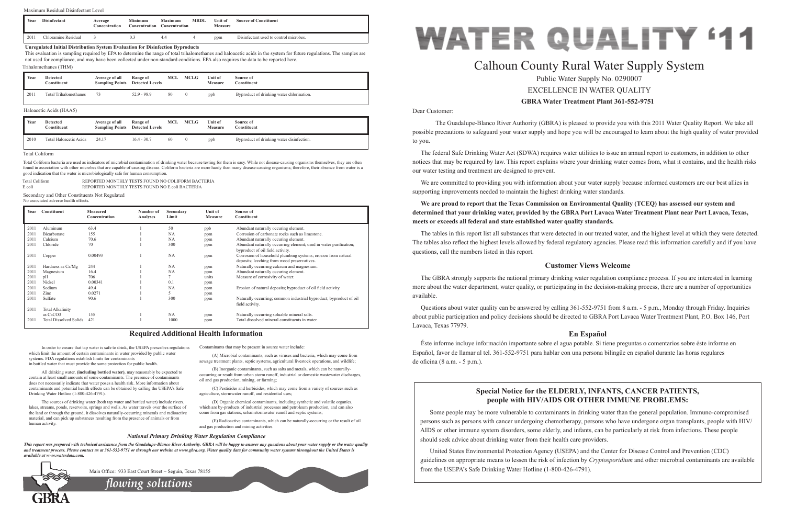Dear Customer:

 The Guadalupe-Blanco River Authority (GBRA) is pleased to provide you with this 2011 Water Quality Report. We take all possible precautions to safeguard your water supply and hope you will be encouraged to learn about the high quality of water provided to you.

The federal Safe Drinking Water Act (SDWA) requires water utilities to issue an annual report to customers, in addition to other notices that may be required by law. This report explains where your drinking water comes from, what it contains, and the health risks our water testing and treatment are designed to prevent.

We are committed to providing you with information about your water supply because informed customers are our best allies in supporting improvements needed to maintain the highest drinking water standards.

The GBRA strongly supports the national primary drinking water regulation compliance process. If you are interested in learning more about the water department, water quality, or participating in the decision-making process, there are a number of opportunities available.

## **We are proud to report that the Texas Commission on Environmental Quality (TCEQ) has assessed our system and determined that your drinking water, provided by the GBRA Port Lavaca Water Treatment Plant near Port Lavaca, Texas, meets or exceeds all federal and state established water quality standards.**

The tables in this report list all substances that were detected in our treated water, and the highest level at which they were detected. The tables also reflect the highest levels allowed by federal regulatory agencies. Please read this information carefully and if you have questions, call the numbers listed in this report.

## **Customer Views Welcome**

Questions about water quality can be answered by calling 361-552-9751 from 8 a.m. - 5 p.m., Monday through Friday. Inquiries about public participation and policy decisions should be directed to GBRA Port Lavaca Water Treatment Plant, P.O. Box 146, Port Lavaca, Texas 77979.

## **En Español**

Éste informe incluye información importante sobre el agua potable. Si tiene preguntas o comentarios sobre éste informe en Español, favor de llamar al tel. 361-552-9751 para hablar con una persona bilingüe en español durante las horas regulares de oficina (8 a.m. - 5 p.m.).

In order to ensure that tap water is safe to drink, the USEPA prescribes regulations which limit the amount of certain contaminants in water provided by public water systems. FDA regulations establish limits for contaminants in bottled water that must provide the same protection for public health.

All drinking water, **(including bottled water)**, may reasonably be expected to contain at least small amounts of some contaminants. The presence of contaminants does not necessarily indicate that water poses a health risk. More information about contaminants and potential health effects can be obtained by calling the USEPA's Safe Drinking Water Hotline (1-800-426-4791).

# **GBRA Water Treatment Plant 361-552-9751** Calhoun County Rural Water Supply System Public Water Supply No. 0290007 EXCELLENCE IN WATER QUALITY

The sources of drinking water (both tap water and bottled water) include rivers, lakes, streams, ponds, reservoirs, springs and wells. As water travels over the surface of the land or through the ground, it dissolves naturally-occurring minerals and radioactive material, and can pick up substances resulting from the presence of animals or from human activity.

Contaminants that may be present in source water include:

(A) Microbial contaminants, such as viruses and bacteria, which may come from sewage treatment plants, septic systems, agricultural livestock operations, and wildlife;

(B) Inorganic contaminants, such as salts and metals, which can be naturallyoccurring or result from urban storm runoff, industrial or domestic wastewater discharges, oil and gas production, mining, or farming;

(C) Pesticides and herbicides, which may come from a variety of sources such as agriculture, stormwater runoff, and residential uses;

(D) Organic chemical contaminants, including synthetic and volatile organics, which are by-products of industrial processes and petroleum production, and can also come from gas stations, urban stormwater runoff and septic systems;

(E) Radioactive contaminants, which can be naturally-occurring or the result of oil and gas production and mining activities.

## **Required Additional Health Information**

## *National Primary Drinking Water Regulation Compliance*

*This report was prepared with technical assistance from the Guadalupe-Blanco River Authority. GBRA will be happy to answer any questions about your water supply or the water quality and treatment process. Please contact us at 361-552-9751 or through our website at www.gbra.org. Water quality data for community water systems throughout the United States is available at www.waterdata.com.*



Main Office: 933 East Court Street ~ Seguin, Texas 78155

## **Special Notice for the ELDERLY, INFANTS, CANCER PATIENTS, people with HIV/AIDS OR OTHER IMMUNE PROBLEMS:**

Some people may be more vulnerable to contaminants in drinking water than the general population. Immuno-compromised persons such as persons with cancer undergoing chemotherapy, persons who have undergone organ transplants, people with HIV/ AIDS or other immune system disorders, some elderly, and infants, can be particularly at risk from infections. These people should seek advice about drinking water from their health care providers.

United States Environmental Protection Agency (USEPA) and the Center for Disease Control and Prevention (CDC) guidelines on appropriate means to lessen the risk of infection by *Cryptosporidium* and other microbial contaminants are available from the USEPA's Safe Drinking Water Hotline (1-800-426-4791).



| Year | Constituent                   | <b>Measured</b><br>Concentration | Number of<br>Analyses | Secondary<br>Limit | Unit of<br><b>Measure</b> | Source of<br><b>Constituent</b>                                                                              |
|------|-------------------------------|----------------------------------|-----------------------|--------------------|---------------------------|--------------------------------------------------------------------------------------------------------------|
| 2011 | Aluminum                      | 63.4                             |                       | 50                 | ppb                       | Abundant naturally occuring element.                                                                         |
| 2011 | Bicarbonate                   | 155                              |                       | NA                 | ppm                       | Corrosion of carbonate rocks such as limestone.                                                              |
| 2011 | Calcium                       | 70.6                             |                       | <b>NA</b>          | ppm                       | Abundant naturally occuring element.                                                                         |
| 2011 | Chloride                      | 70                               |                       | 300                | ppm                       | Abundant naturally occurring element; used in water purification;<br>byproduct of oil field activity.        |
| 2011 | Copper                        | 0.00493                          |                       | <b>NA</b>          | ppm                       | Corrosion of household plumbing systems; erosion from natural<br>deposits; leeching from wood preservatives. |
| 2011 | Hardness as Ca/Mg             | 244                              |                       | NA                 | ppm                       | Naturally occurring calcium and magnesium.                                                                   |
| 2011 | Magnesium                     | 16.4                             |                       | NA                 | ppm                       | Abundant naturally occuring element.                                                                         |
| 2011 | pΗ                            | 706                              |                       |                    | units                     | Measure of corrosivity of water.                                                                             |
| 2011 | Nickel                        | 0.00341                          |                       | 0.1                | ppm                       |                                                                                                              |
| 2011 | Sodium                        | 49.4                             |                       | <b>NA</b>          | ppm                       | Erosion of natural deposits; byproduct of oil field activity.                                                |
| 2011 | $\mathsf{Zinc}$               | 0.0271                           |                       | C.                 | ppm                       |                                                                                                              |
| 2011 | Sulfate                       | 90.6                             |                       | 300                | ppm                       | Naturally occurring; common industrial byproduct; byproduct of oil<br>field activity.                        |
| 2011 | <b>Total Alkalinity</b>       |                                  |                       |                    |                           |                                                                                                              |
|      | as CaCO <sub>3</sub>          | 155                              |                       | <b>NA</b>          | ppm                       | Naturally occurring soluable mineral salts.                                                                  |
| 2011 | <b>Total Dissolved Solids</b> | 421                              |                       | 1000               | ppm                       | Total dissolved mineral constituents in water.                                                               |

Secondary and Other Constituents Not Regulated

| No associated adverse health effects. |  |  |
|---------------------------------------|--|--|
|                                       |  |  |

| Year | Detected<br>Constituent | Average of all<br><b>Sampling Points</b> | Range of<br><b>Detected Levels</b> | MCL | <b>MCLG</b> | Unit of<br>Measure | Source of<br>Constituent                  |
|------|-------------------------|------------------------------------------|------------------------------------|-----|-------------|--------------------|-------------------------------------------|
| 2010 | Total Haloacetic Acids  | 24.17                                    | $16.4 - 30.7$                      | 60  |             | ppb                | Byproduct of drinking water disinfection. |

## Haloacetic Acids (HAA5)

*flowing solutions*

| Total Coliform | REPORTED MONTHLY TESTS FOUND NO COLIFORM BACTERIA |
|----------------|---------------------------------------------------|
| E.coli         | REPORTED MONTHLY TESTS FOUND NO E coli BACTERIA   |

#### Total Coliform

Total Coliform bacteria are used as indicators of microbial contamination of drinking water because testing for them is easy. While not disease-causing organisms themselves, they are often found in association with other microbes that are capable of causing disease. Coliform bacteria are more hardy than many disease-causing organisms; therefore, their absence from water is a good indication that the water is microbiologically safe for human consumption.

| Year | Detected<br>Constituent      | Average of all<br><b>Sampling Points</b> Detected Levels | Range of      | MCL | <b>MCLG</b> | Unit of<br><b>Measure</b> | Source of<br>Constituent                  |
|------|------------------------------|----------------------------------------------------------|---------------|-----|-------------|---------------------------|-------------------------------------------|
| 2011 | <b>Total Trihalomethanes</b> |                                                          | $52.9 - 98.9$ | 80  | $\left($    | ppb                       | Byproduct of drinking water chlorination. |

## Trihalomethanes (THM)

#### **Unregulated Initial Distribution System Evaluation for Disinfection Byproducts**

This evaluation is sampling required by EPA to determine the range of total trihalomethanes and haloacetic acids in the system for future regulations. The samples are not used for compliance, and may have been collected under non-standard conditions. EPA also requires the data to be reported here.

| Year | <b>Disinfectant</b> | Average<br><b>Concentration</b> | Minimum<br>Concentration | Maximum<br>Concentration | MRDL | $\mathbf{v}_{\text{init of}}$<br>Measure | <b>Source of Constituent</b>           |
|------|---------------------|---------------------------------|--------------------------|--------------------------|------|------------------------------------------|----------------------------------------|
| 2011 | Chloramine Residual |                                 |                          |                          |      | ppm                                      | Disinfectant used to control microbes. |

## Maximum Residual Disinfectant Level